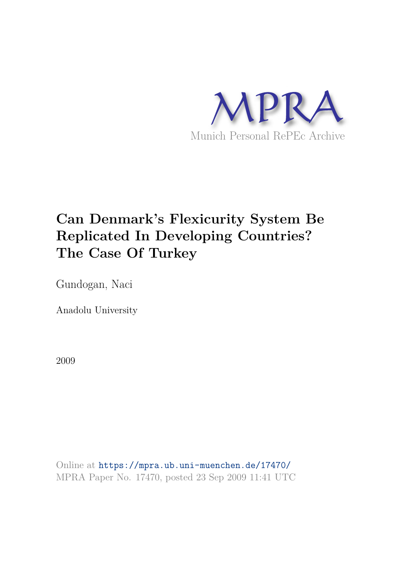

# **Can Denmark's Flexicurity System Be Replicated In Developing Countries? The Case Of Turkey**

Gundogan, Naci

Anadolu University

2009

Online at https://mpra.ub.uni-muenchen.de/17470/ MPRA Paper No. 17470, posted 23 Sep 2009 11:41 UTC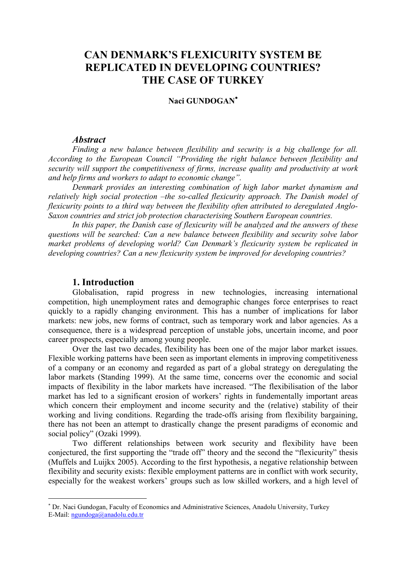## CAN DENMARK'S FLEXICURITY SYSTEM BE **REPLICATED IN DEVELOPING COUNTRIES? THE CASE OF TURKEY**

## Naci GUNDOGAN<sup>\*</sup>

#### *-*

*Finding a new balance between flexibility and security is a big challenge for all.* According to the European Council "Providing the right balance between flexibility and security will support the competitiveness of firms, increase quality and productivity at work and help firms and workers to adapt to economic change".

Denmark provides an interesting combination of high labor market dynamism and relatively high social protection -the so-called flexicurity approach. The Danish model of flexicurity points to a third way between the flexibility often attributed to deregulated Anglo-Saxon countries and strict job protection characterising Southern European countries.

In this paper, the Danish case of flexicurity will be analyzed and the answers of these *guestions will be searched: Can a new balance between flexibility and security solve labor* market problems of developing world? Can Denmark's flexicurity system be replicated in developing countries? Can a new flexicurity system be improved for developing countries?

#### **1.** Introduction

 $\overline{a}$ 

Globalisation, rapid progress in new technologies, increasing international competition, high unemployment rates and demographic changes force enterprises to react quickly to a rapidly changing environment. This has a number of implications for labor markets: new jobs, new forms of contract, such as temporary work and labor agencies. As a consequence, there is a widespread perception of unstable jobs, uncertain income, and poor career prospects, especially among young people.

Over the last two decades, flexibility has been one of the major labor market issues. Flexible working patterns have been seen as important elements in improving competitiveness of a company or an economy and regarded as part of a global strategy on deregulating the labor markets (Standing 1999). At the same time, concerns over the economic and social impacts of flexibility in the labor markets have increased. "The flexibilisation of the labor market has led to a significant erosion of workers' rights in fundementally important areas which concern their employment and income security and the (relative) stability of their working and living conditions. Regarding the trade-offs arising from flexibility bargaining, there has not been an attempt to drastically change the present paradigms of economic and social policy" (Ozaki 1999).

 Two different relationships between work security and flexibility have been conjectured, the first supporting the "trade off" theory and the second the "flexicurity" thesis (Muffels and Luijkx 2005). According to the first hypothesis, a negative relationship between flexibility and security exists: flexible employment patterns are in conflict with work security, especially for the weakest workers' groups such as low skilled workers, and a high level of

<sup>∗</sup> Dr. Naci Gundogan, Faculty of Economics and Administrative Sciences, Anadolu University, Turkey E-Mail: [ngundoga@anadolu.edu.tr](mailto:ngundoga@anadolu.edu.tr)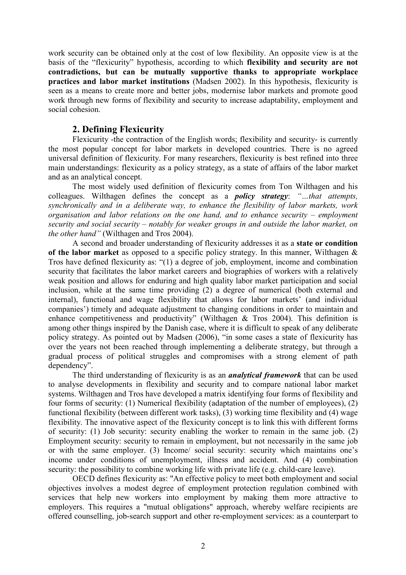work security can be obtained only at the cost of low flexibility. An opposite view is at the basis of the "flexicurity" hypothesis, according to which **flexibility and security are not** contradictions, but can be mutually supportive thanks to appropriate workplace practices and labor market institutions (Madsen 2002). In this hypothesis, flexicurity is seen as a means to create more and better jobs, modernise labor markets and promote good work through new forms of flexibility and security to increase adaptability, employment and social cohesion

#### **2. Defining Flexicurity**

Flexicurity -the contraction of the English words; flexibility and security- is currently the most popular concept for labor markets in developed countries. There is no agreed universal definition of flexicurity. For many researchers, flexicurity is best refined into three main understandings: flexicurity as a policy strategy, as a state of affairs of the labor market and as an analytical concept.

The most widely used definition of flexicurity comes from Ton Wilthagen and his colleagues. Wilthagen defines the concept as a *policy strategy*: "...that attempts, synchronically and in a deliberate way, to enhance the flexibility of labor markets, work organisation and labor relations on the one hand, and to enhance security – employment security and social security – notably for weaker groups in and outside the labor market, on *the other hand*" (Wilthagen and Tros 2004).

A second and broader understanding of flexicurity addresses it as a **state or condition** of the labor market as opposed to a specific policy strategy. In this manner, Wilthagen  $\&$ Tros have defined flexicurity as: "(1) a degree of job, employment, income and combination security that facilitates the labor market careers and biographies of workers with a relatively weak position and allows for enduring and high quality labor market participation and social inclusion, while at the same time providing (2) a degree of numerical (both external and internal), functional and wage flexibility that allows for labor markets' (and individual companies') timely and adequate adjustment to changing conditions in order to maintain and enhance competitiveness and productivity" (Wilthagen & Tros 2004). This definition is among other things inspired by the Danish case, where it is difficult to speak of any deliberate policy strategy. As pointed out by Madsen (2006), "in some cases a state of flexicurity has over the years not been reached through implementing a deliberate strategy, but through a gradual process of political struggles and compromises with a strong element of path dependency".

The third understanding of flexicurity is as an *analytical framework* that can be used to analyse developments in flexibility and security and to compare national labor market systems. Wilthagen and Tros have developed a matrix identifying four forms of flexibility and four forms of security: (1) Numerical flexibility (adaptation of the number of employees), (2) functional flexibility (between different work tasks), (3) working time flexibility and (4) wage flexibility. The innovative aspect of the flexicurity concept is to link this with different forms of security: (1) Job security: security enabling the worker to remain in the same job. (2) Employment security: security to remain in employment, but not necessarily in the same job or with the same employer. (3) Income/ social security: security which maintains one's income under conditions of unemployment, illness and accident. And (4) combination security: the possibility to combine working life with private life (e.g. child-care leave).

OECD defines flexicurity as: "An effective policy to meet both employment and social objectives involves a modest degree of employment protection regulation combined with services that help new workers into employment by making them more attractive to employers. This requires a "mutual obligations" approach, whereby welfare recipients are offered counselling, job-search support and other re-employment services: as a counterpart to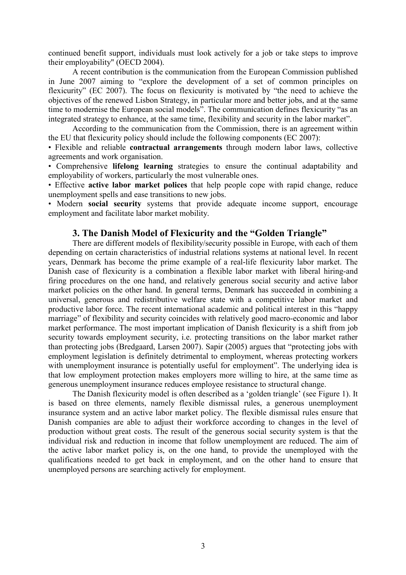continued benefit support, individuals must look actively for a job or take steps to improve their employability" (OECD 2004).

A recent contribution is the communication from the European Commission published in June 2007 aiming to "explore the development of a set of common principles on flexicurity" (EC 2007). The focus on flexicurity is motivated by "the need to achieve the objectives of the renewed Lisbon Strategy, in particular more and better jobs, and at the same time to modernise the European social models". The communication defines flexicurity "as an integrated strategy to enhance, at the same time, flexibility and security in the labor market".

According to the communication from the Commission, there is an agreement within the EU that flexicurity policy should include the following components (EC 2007):

• Flexible and reliable **contractual arrangements** through modern labor laws, collective agreements and work organisation.

• Comprehensive **lifelong learning** strategies to ensure the continual adaptability and employability of workers, particularly the most vulnerable ones.

• Effective **active labor market polices** that help people cope with rapid change, reduce unemployment spells and ease transitions to new jobs.

• Modern **social security** systems that provide adequate income support, encourage employment and facilitate labor market mobility.

#### **3. The Danish Model of Flexicurity and the "Golden Triangle"**

There are different models of flexibility/security possible in Europe, with each of them depending on certain characteristics of industrial relations systems at national level. In recent years, Denmark has become the prime example of a real-life flexicurity labor market. The Danish case of flexicurity is a combination a flexible labor market with liberal hiring-and firing procedures on the one hand, and relatively generous social security and active labor market policies on the other hand. In general terms, Denmark has succeeded in combining a universal, generous and redistributive welfare state with a competitive labor market and productive labor force. The recent international academic and political interest in this "happy marriage" of flexibility and security coincides with relatively good macro-economic and labor market performance. The most important implication of Danish flexicurity is a shift from job security towards employment security, i.e. protecting transitions on the labor market rather than protecting jobs (Bredgaard, Larsen 2007). Sapir (2005) argues that "protecting jobs with employment legislation is definitely detrimental to employment, whereas protecting workers with unemployment insurance is potentially useful for employment". The underlying idea is that low employment protection makes employers more willing to hire, at the same time as generous unemployment insurance reduces employee resistance to structural change.

The Danish flexicurity model is often described as a 'golden triangle' (see Figure 1). It is based on three elements, namely flexible dismissal rules, a generous unemployment insurance system and an active labor market policy. The flexible dismissal rules ensure that Danish companies are able to adjust their workforce according to changes in the level of production without great costs. The result of the generous social security system is that the individual risk and reduction in income that follow unemployment are reduced. The aim of the active labor market policy is, on the one hand, to provide the unemployed with the qualifications needed to get back in employment, and on the other hand to ensure that unemployed persons are searching actively for employment.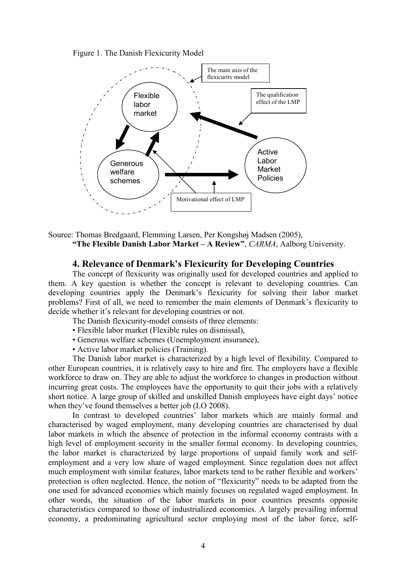Figure 1. The Danish Flexicurity Model



#### Source: Thomas Bredgaard, Flemming Larsen, Per Kongshøj Madsen (2005), **"The Flexible Danish Labor Market – A Review", CARMA, Aalborg University.**

#### **4. Relevance of Denmark's Flexicurity for Developing Countries**

The concept of flexicurity was originally used for developed countries and applied to them. A key question is whether the concept is relevant to developing countries. Can developing countries apply the Denmark's flexicurity for solving their labor market problems? First of all, we need to remember the main elements of Denmark's flexicurity to decide whether it's relevant for developing countries or not.

The Danish flexicurity-model consists of three elements:

- Flexible labor market (Flexible rules on dismissal),
- Generous welfare schemes (Unemployment insurance),
- Active labor market policies (Training).

The Danish labor market is characterized by a high level of flexibility. Compared to other European countries, it is relatively easy to hire and fire. The employers have a flexible workforce to draw on. They are able to adjust the workforce to changes in production without incurring great costs. The employees have the opportunity to quit their jobs with a relatively short notice. A large group of skilled and unskilled Danish employees have eight days' notice when they've found themselves a better job (LO 2008).

In contrast to developed countries' labor markets which are mainly formal and characterised by waged employment, many developing countries are characterised by dual labor markets in which the absence of protection in the informal economy contrasts with a high level of employment security in the smaller formal economy. In developing countries, the labor market is characterized by large proportions of unpaid family work and selfemployment and a very low share of waged employment. Since regulation does not affect much employment with similar features, labor markets tend to be rather flexible and workers' protection is often neglected. Hence, the notion of "flexicurity" needs to be adapted from the one used for advanced economies which mainly focuses on regulated waged employment. In other words, the situation of the labor markets in poor countries presents opposite characteristics compared to those of industrialized economies. A largely prevailing informal economy, a predominating agricultural sector employing most of the labor force, self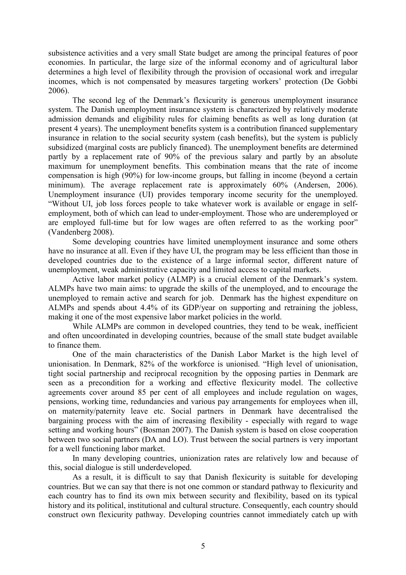subsistence activities and a very small State budget are among the principal features of poor economies. In particular, the large size of the informal economy and of agricultural labor determines a high level of flexibility through the provision of occasional work and irregular incomes, which is not compensated by measures targeting workers' protection (De Gobbi 2006).

The second leg of the Denmark's flexicurity is generous unemployment insurance system. The Danish unemployment insurance system is characterized by relatively moderate admission demands and eligibility rules for claiming benefits as well as long duration (at present 4 years). The unemployment benefits system is a contribution financed supplementary insurance in relation to the social security system (cash benefits), but the system is publicly subsidized (marginal costs are publicly financed). The unemployment benefits are determined partly by a replacement rate of 90% of the previous salary and partly by an absolute maximum for unemployment benefits. This combination means that the rate of income compensation is high (90%) for low-income groups, but falling in income (beyond a certain minimum). The average replacement rate is approximately 60% (Andersen, 2006). Unemployment insurance (UI) provides temporary income security for the unemployed. "Without UI, job loss forces people to take whatever work is available or engage in selfemployment, both of which can lead to under-employment. Those who are underemployed or are employed full-time but for low wages are often referred to as the working poor" (Vandenberg 2008).

Some developing countries have limited unemployment insurance and some others have no insurance at all. Even if they have UI, the program may be less efficient than those in developed countries due to the existence of a large informal sector, different nature of unemployment, weak administrative capacity and limited access to capital markets.

Active labor market policy (ALMP) is a crucial element of the Denmark's system. ALMPs have two main aims: to upgrade the skills of the unemployed, and to encourage the unemployed to remain active and search for job. Denmark has the highest expenditure on ALMPs and spends about 4.4% of its GDP/year on supporting and retraining the jobless, making it one of the most expensive labor market policies in the world.

While ALMPs are common in developed countries, they tend to be weak, inefficient and often uncoordinated in developing countries, because of the small state budget available to finance them.

One of the main characteristics of the Danish Labor Market is the high level of unionisation. In Denmark, 82% of the workforce is unionised. "High level of unionisation, tight social partnership and reciprocal recognition by the opposing parties in Denmark are seen as a precondition for a working and effective flexicurity model. The collective agreements cover around 85 per cent of all employees and include regulation on wages, pensions, working time, redundancies and various pay arrangements for employees when ill, on maternity/paternity leave etc. Social partners in Denmark have decentralised the bargaining process with the aim of increasing flexibility - especially with regard to wage setting and working hours" (Bosman 2007). The Danish system is based on close cooperation between two social partners (DA and LO). Trust between the social partners is very important for a well functioning labor market.

 In many developing countries, unionization rates are relatively low and because of this, social dialogue is still underdeveloped.

As a result, it is difficult to say that Danish flexicurity is suitable for developing countries. But we can say that there is not one common or standard pathway to flexicurity and each country has to find its own mix between security and flexibility, based on its typical history and its political, institutional and cultural structure. Consequently, each country should construct own flexicurity pathway. Developing countries cannot immediately catch up with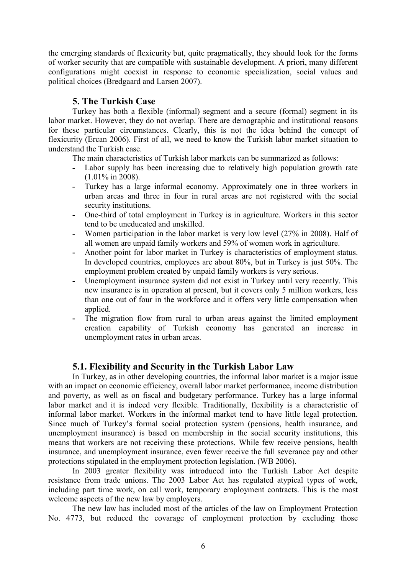the emerging standards of flexicurity but, quite pragmatically, they should look for the forms of worker security that are compatible with sustainable development. A priori, many different configurations might coexist in response to economic specialization, social values and political choices (Bredgaard and Larsen 2007).

### **5. The Turkish Case**

Turkey has both a flexible (informal) segment and a secure (formal) segment in its labor market. However, they do not overlap. There are demographic and institutional reasons for these particular circumstances. Clearly, this is not the idea behind the concept of flexicurity (Ercan 2006). First of all, we need to know the Turkish labor market situation to understand the Turkish case.

The main characteristics of Turkish labor markets can be summarized as follows:

- Labor supply has been increasing due to relatively high population growth rate (1.01% in 2008).
- **;** Turkey has a large informal economy. Approximately one in three workers in urban areas and three in four in rural areas are not registered with the social security institutions.
- **;** One-third of total employment in Turkey is in agriculture. Workers in this sector tend to be uneducated and unskilled.
- **;** Women participation in the labor market is very low level (27% in 2008). Half of all women are unpaid family workers and 59% of women work in agriculture.
- **;** Another point for labor market in Turkey is characteristics of employment status. In developed countries, employees are about 80%, but in Turkey is just 50%. The employment problem created by unpaid family workers is very serious.
- **;** Unemployment insurance system did not exist in Turkey until very recently. This new insurance is in operation at present, but it covers only 5 million workers, less than one out of four in the workforce and it offers very little compensation when applied.
- **;** The migration flow from rural to urban areas against the limited employment creation capability of Turkish economy has generated an increase in unemployment rates in urban areas.

#### **5.1. Flexibility and Security in the Turkish Labor Law**

In Turkey, as in other developing countries, the informal labor market is a major issue with an impact on economic efficiency, overall labor market performance, income distribution and poverty, as well as on fiscal and budgetary performance. Turkey has a large informal labor market and it is indeed very flexible. Traditionally, flexibility is a characteristic of informal labor market. Workers in the informal market tend to have little legal protection. Since much of Turkey's formal social protection system (pensions, health insurance, and unemployment insurance) is based on membership in the social security institutions, this means that workers are not receiving these protections. While few receive pensions, health insurance, and unemployment insurance, even fewer receive the full severance pay and other protections stipulated in the employment protection legislation. (WB 2006).

In 2003 greater flexibility was introduced into the Turkish Labor Act despite resistance from trade unions. The 2003 Labor Act has regulated atypical types of work, including part time work, on call work, temporary employment contracts. This is the most welcome aspects of the new law by employers.

The new law has included most of the articles of the law on Employment Protection No. 4773, but reduced the covarage of employment protection by excluding those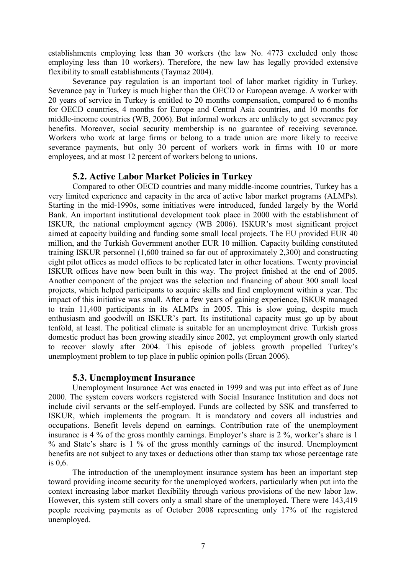establishments employing less than 30 workers (the law No. 4773 excluded only those employing less than 10 workers). Therefore, the new law has legally provided extensive flexibility to small establishments (Taymaz 2004).

Severance pay regulation is an important tool of labor market rigidity in Turkey. Severance pay in Turkey is much higher than the OECD or European average. A worker with 20 years of service in Turkey is entitled to 20 months compensation, compared to 6 months for OECD countries, 4 months for Europe and Central Asia countries, and 10 months for middle-income countries (WB, 2006). But informal workers are unlikely to get severance pay benefits. Moreover, social security membership is no guarantee of receiving severance. Workers who work at large firms or belong to a trade union are more likely to receive severance payments, but only 30 percent of workers work in firms with 10 or more employees, and at most 12 percent of workers belong to unions.

## **5.2. Active Labor Market Policies in Turkey**

Compared to other OECD countries and many middle-income countries, Turkey has a very limited experience and capacity in the area of active labor market programs (ALMPs). Starting in the mid-1990s, some initiatives were introduced, funded largely by the World Bank. An important institutional development took place in 2000 with the establishment of ISKUR, the national employment agency (WB 2006). ISKUR's most significant project aimed at capacity building and funding some small local projects. The EU provided EUR 40 million, and the Turkish Government another EUR 10 million. Capacity building constituted training ISKUR personnel (1,600 trained so far out of approximately 2,300) and constructing eight pilot offices as model offices to be replicated later in other locations. Twenty provincial ISKUR offices have now been built in this way. The project finished at the end of 2005. Another component of the project was the selection and financing of about 300 small local projects, which helped participants to acquire skills and find employment within a year. The impact of this initiative was small. After a few years of gaining experience, ISKUR managed to train 11,400 participants in its ALMPs in 2005. This is slow going, despite much enthusiasm and goodwill on ISKUR's part. Its institutional capacity must go up by about tenfold, at least. The political climate is suitable for an unemployment drive. Turkish gross domestic product has been growing steadily since 2002, yet employment growth only started to recover slowly after 2004. This episode of jobless growth propelled Turkey's unemployment problem to top place in public opinion polls (Ercan 2006).

#### **5.3. Unemployment Insurance**

Unemployment Insurance Act was enacted in 1999 and was put into effect as of June 2000. The system covers workers registered with Social Insurance Institution and does not include civil servants or the self-employed. Funds are collected by SSK and transferred to ISKUR, which implements the program. It is mandatory and covers all industries and occupations. Benefit levels depend on earnings. Contribution rate of the unemployment insurance is 4 % of the gross monthly earnings. Employer's share is 2 %, worker's share is 1 % and State's share is 1 % of the gross monthly earnings of the insured. Unemployment benefits are not subject to any taxes or deductions other than stamp tax whose percentage rate is 0,6.

The introduction of the unemployment insurance system has been an important step toward providing income security for the unemployed workers, particularly when put into the context increasing labor market flexibility through various provisions of the new labor law. However, this system still covers only a small share of the unemployed. There were 143,419 people receiving payments as of October 2008 representing only 17% of the registered unemployed.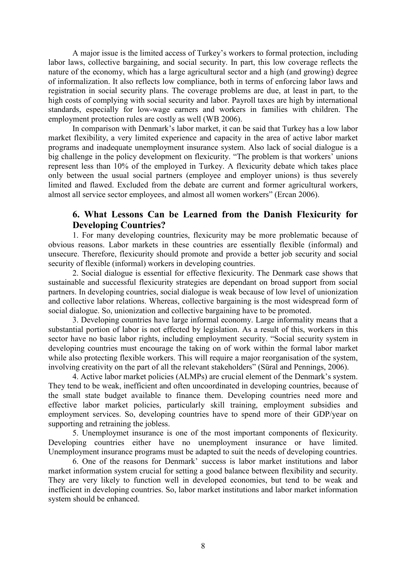A major issue is the limited access of Turkey's workers to formal protection, including labor laws, collective bargaining, and social security. In part, this low coverage reflects the nature of the economy, which has a large agricultural sector and a high (and growing) degree of informalization. It also reflects low compliance, both in terms of enforcing labor laws and registration in social security plans. The coverage problems are due, at least in part, to the high costs of complying with social security and labor. Payroll taxes are high by international standards, especially for low-wage earners and workers in families with children. The employment protection rules are costly as well (WB 2006).

In comparison with Denmark's labor market, it can be said that Turkey has a low labor market flexibility, a very limited experience and capacity in the area of active labor market programs and inadequate unemployment insurance system. Also lack of social dialogue is a big challenge in the policy development on flexicurity. "The problem is that workers' unions represent less than 10% of the employed in Turkey. A flexicurity debate which takes place only between the usual social partners (employee and employer unions) is thus severely limited and flawed. Excluded from the debate are current and former agricultural workers, almost all service sector employees, and almost all women workers" (Ercan 2006).

#### 6. What Lessons Can be Learned from the Danish Flexicurity for **Developing Countries?**

1. For many developing countries, flexicurity may be more problematic because of obvious reasons. Labor markets in these countries are essentially flexible (informal) and unsecure. Therefore, flexicurity should promote and provide a better job security and social security of flexible (informal) workers in developing countries.

2. Social dialogue is essential for effective flexicurity. The Denmark case shows that sustainable and successful flexicurity strategies are dependant on broad support from social partners. In developing countries, social dialogue is weak because of low level of unionization and collective labor relations. Whereas, collective bargaining is the most widespread form of social dialogue. So, unionization and collective bargaining have to be promoted.

3. Developing countries have large informal economy. Large informality means that a substantial portion of labor is not effected by legislation. As a result of this, workers in this sector have no basic labor rights, including employment security. "Social security system in developing countries must encourage the taking on of work within the formal labor market while also protecting flexible workers. This will require a major reorganisation of the system, involving creativity on the part of all the relevant stakeholders" (Süral and Pennings, 2006).

4. Active labor market policies (ALMPs) are crucial element of the Denmark's system. They tend to be weak, inefficient and often uncoordinated in developing countries, because of the small state budget available to finance them. Developing countries need more and effective labor market policies, particularly skill training, employment subsidies and employment services. So, developing countries have to spend more of their GDP/year on supporting and retraining the jobless.

5. Unemploymet insurance is one of the most important components of flexicurity. Developing countries either have no unemployment insurance or have limited. Unemployment insurance programs must be adapted to suit the needs of developing countries.

6. One of the reasons for Denmark' success is labor market institutions and labor market information system crucial for setting a good balance between flexibility and security. They are very likely to function well in developed economies, but tend to be weak and inefficient in developing countries. So, labor market institutions and labor market information system should be enhanced.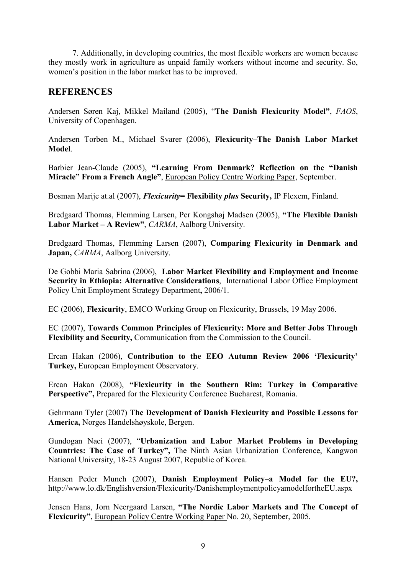7. Additionally, in developing countries, the most flexible workers are women because they mostly work in agriculture as unpaid family workers without income and security. So, women's position in the labor market has to be improved.

### **REFERENCES**

Andersen Søren Kaj, Mikkel Mailand (2005), "The Danish Flexicurity Model", *FAOS*, University of Copenhagen.

Andersen Torben M., Michael Svarer (2006), Flexicurity–The Danish Labor Market **Model**.

Barbier Jean-Claude (2005), "Learning From Denmark? Reflection on the "Danish **Miracle" From a French Angle"**, European Policy Centre Working Paper, September.

Bosman Marije at.al (2007), *Flexicurity* = Flexibility *plus* Security, IP Flexem, Finland.

Bredgaard Thomas, Flemming Larsen, Per Kongshøj Madsen (2005), "The Flexible Danish Labor Market - A Review", CARMA, Aalborg University.

Bredgaard Thomas, Flemming Larsen (2007), **Comparing Flexicurity in Denmark and** Japan, CARMA, Aalborg University.

De Gobbi Maria Sabrina (2006), Labor Market Flexibility and Employment and Income **Security in Ethiopia: Alternative Considerations, International Labor Office Employment** Policy Unit Employment Strategy Department**,**2006/1.

EC (2006), Flexicurity, **EMCO Working Group on Flexicurity**, Brussels, 19 May 2006.

EC (2007), Towards Common Principles of Flexicurity: More and Better Jobs Through **Flexibility and Security, Communication from the Commission to the Council.** 

Ercan Hakan (2006), Contribution to the EEO Autumn Review 2006 'Flexicurity' **Turkey, European Employment Observatory.** 

Ercan Hakan (2008), "Flexicurity in the Southern Rim: Turkey in Comparative Perspective", Prepared for the Flexicurity Conference Bucharest, Romania.

Gehrmann Tyler (2007) The Development of Danish Flexicurity and Possible Lessons for America, Norges Handelshøyskole, Bergen.

Gundogan Naci (2007), "Urbanization and Labor Market Problems in Developing **Countries: The Case of Turkey", The Ninth Asian Urbanization Conference, Kangwon** National University, 18-23 August 2007, Republic of Korea.

Hansen Peder Munch (2007), **Danish Employment Policy–a Model for the EU?**, http://www.lo.dk/Englishversion/Flexicurity/DanishemploymentpolicyamodelfortheEU.aspx

Jensen Hans, Jorn Neergaard Larsen, "The Nordic Labor Markets and The Concept of **Flexicurity"**, European Policy Centre Working Paper No. 20, September, 2005.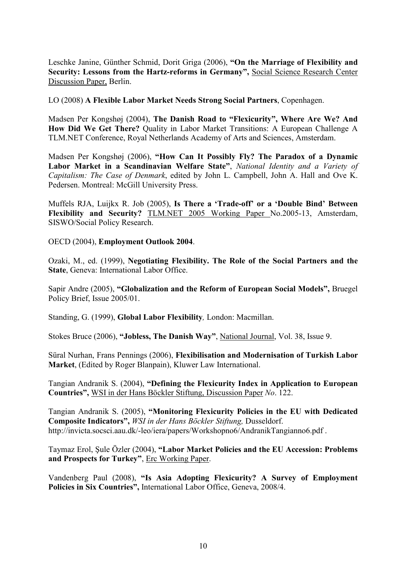Leschke Janine, Günther Schmid, Dorit Griga (2006), "On the Marriage of Flexibility and **Security: Lessons from the Hartz-reforms in Germany", Social Science Research Center** Discussion Paper, Berlin.

LO (2008) A Flexible Labor Market Needs Strong Social Partners, Copenhagen.

Madsen Per Kongshøj (2004), The Danish Road to "Flexicurity", Where Are We? And **How Did We Get There?** Quality in Labor Market Transitions: A European Challenge A TLM.NET Conference, Royal Netherlands Academy of Arts and Sciences, Amsterdam.

Madsen Per Kongshøj (2006), "How Can It Possibly Fly? The Paradox of a Dynamic **Labor Market in a Scandinavian Welfare State", National Identity and a Variety of** Capitalism: The Case of Denmark, edited by John L. Campbell, John A. Hall and Ove K. Pedersen. Montreal: McGill University Press.

**Muffels RJA, Luijkx R. Job (2005), Is There a 'Trade-off' or a 'Double Bind' Between Flexibility and Security?** TLM.NET 2005 Working Paper No.2005-13, Amsterdam, SISWO/Social Policy Research.

**OECD** (2004), **Employment Outlook 2004**.

Ozaki, M., ed. (1999), **Negotiating Flexibility. The Role of the Social Partners and the State**, Geneva: International Labor Office.

Sapir Andre (2005), "Globalization and the Reform of European Social Models", Bruegel Policy Brief, Issue 2005/01.

Standing, G. (1999), Global Labor Flexibility, London: Macmillan.

Stokes Bruce (2006), "**Jobless, The Danish Way**", National Journal, Vol. 38, Issue 9.

Süral Nurhan, Frans Pennings (2006), **Flexibilisation and Modernisation of Turkish Labor Market**, (Edited by Roger Blanpain), Kluwer Law International.

Tangian Andranik S. (2004), "Defining the Flexicurity Index in Application to European **Countries".** WSI in der Hans Böckler Stiftung, Discussion Paper No. 122.

Tangian Andranik S. (2005), "Monitoring Flexicurity Policies in the EU with Dedicated Composite Indicators", WSI in der Hans Böckler Stiftung, Dusseldorf. http://invicta.socsci.aau.dk/-leo/iera/papers/Workshopno6/AndranikTangianno6.pdf .

Taymaz Erol, Şule Özler (2004), "Labor Market Policies and the EU Accession: Problems and Prospects for Turkey", Erc Working Paper.

Vandenberg Paul (2008), "Is Asia Adopting Flexicurity? A Survey of Employment Policies in Six Countries", International Labor Office, Geneva, 2008/4.